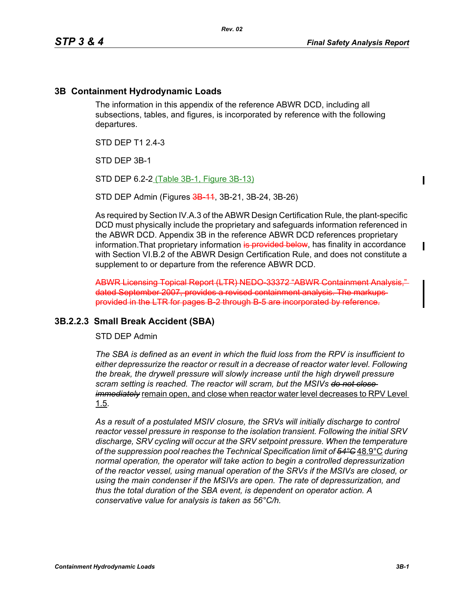Π

П

#### **3B Containment Hydrodynamic Loads**

The information in this appendix of the reference ABWR DCD, including all subsections, tables, and figures, is incorporated by reference with the following departures.

*Rev. 02*

STD DFP T1 2 4-3

STD DEP 3B-1

STD DEP 6.2-2 (Table 3B-1, Figure 3B-13)

STD DEP Admin (Figures 3B 11, 3B-21, 3B-24, 3B-26)

As required by Section IV.A.3 of the ABWR Design Certification Rule, the plant-specific DCD must physically include the proprietary and safeguards information referenced in the ABWR DCD. Appendix 3B in the reference ABWR DCD references proprietary information. That proprietary information is provided below, has finality in accordance with Section VI.B.2 of the ABWR Design Certification Rule, and does not constitute a supplement to or departure from the reference ABWR DCD.

ABWR Licensing Topical Report (LTR) NEDO-33372 "ABWR Containment Analysis," dated September 2007, provides a revised containment analysis. The markups provided in the LTR for pages B-2 through B-5 are incorporated by reference.

#### **3B.2.2.3 Small Break Accident (SBA)**

STD DEP Admin

*The SBA is defined as an event in which the fluid loss from the RPV is insufficient to either depressurize the reactor or result in a decrease of reactor water level. Following the break, the drywell pressure will slowly increase until the high drywell pressure scram setting is reached. The reactor will scram, but the MSIVs do not close immediately* remain open, and close when reactor water level decreases to RPV Level 1.5.

*As a result of a postulated MSIV closure, the SRVs will initially discharge to control reactor vessel pressure in response to the isolation transient. Following the initial SRV discharge, SRV cycling will occur at the SRV setpoint pressure. When the temperature of the suppression pool reaches the Technical Specification limit of 54°C* 48.9°C *during normal operation, the operator will take action to begin a controlled depressurization of the reactor vessel, using manual operation of the SRVs if the MSIVs are closed, or using the main condenser if the MSIVs are open. The rate of depressurization, and thus the total duration of the SBA event, is dependent on operator action. A conservative value for analysis is taken as 56°C/h.*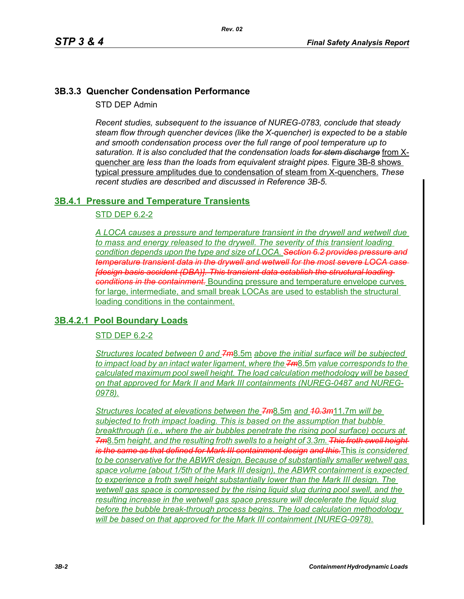# **3B.3.3 Quencher Condensation Performance**

STD DEP Admin

*Recent studies, subsequent to the issuance of NUREG-0783, conclude that steady steam flow through quencher devices (like the X-quencher) is expected to be a stable and smooth condensation process over the full range of pool temperature up to saturation. It is also concluded that the condensation loads for stem discharge* from Xquencher are *less than the loads from equivalent straight pipes.* Figure 3B-8 shows typical pressure amplitudes due to condensation of steam from X-quenchers. *These recent studies are described and discussed in Reference 3B-5.*

# **3B.4.1 Pressure and Temperature Transients**

# STD DEP 6.2-2

*A LOCA causes a pressure and temperature transient in the drywell and wetwell due to mass and energy released to the drywell. The severity of this transient loading condition depends upon the type and size of LOCA. Section 6.2 provides pressure and temperature transient data in the drywell and wetwell for the most severe LOCA case [design basis accident (DBA)]. This transient data establish the structural loading conditions in the containment.* Bounding pressure and temperature envelope curves for large, intermediate, and small break LOCAs are used to establish the structural loading conditions in the containment.

# **3B.4.2.1 Pool Boundary Loads**

# STD DEP 6.2-2

*Structures located between 0 and 7m*8.5m *above the initial surface will be subjected to impact load by an intact water ligament, where the 7m*8.5m *value corresponds to the calculated maximum pool swell height. The load calculation methodology will be based on that approved for Mark II and Mark III containments (NUREG-0487 and NUREG-0978).*

*Structures located at elevations between the 7m*8.5m *and 10.3m*11.7m *will be subjected to froth impact loading. This is based on the assumption that bubble breakthrough (i.e., where the air bubbles penetrate the rising pool surface) occurs at 7m*8.5m *height, and the resulting froth swells to a height of 3.3m. This froth swell height is the same as that defined for Mark III containment design and this.*This *is considered to be conservative for the ABWR design. Because of substantially smaller wetwell gas space volume (about 1/5th of the Mark III design), the ABWR containment is expected*  to experience a froth swell height substantially lower than the Mark III design. The *wetwell gas space is compressed by the rising liquid slug during pool swell, and the resulting increase in the wetwell gas space pressure will decelerate the liquid slug before the bubble break-through process begins. The load calculation methodology will be based on that approved for the Mark III containment (NUREG-0978).*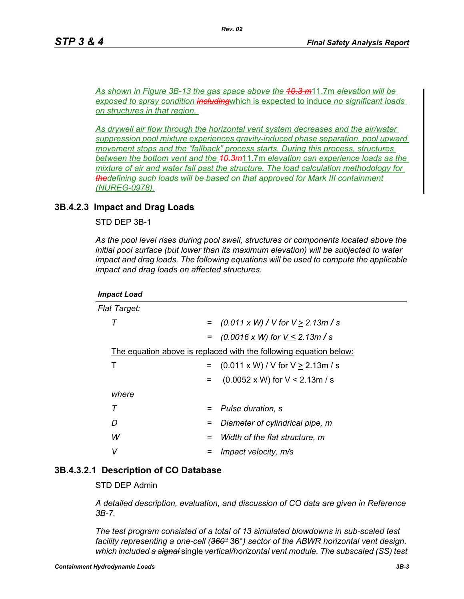*As shown in Figure 3B-13 the gas space above the 10.3 m*11.7m *elevation will be exposed to spray condition including*which is expected to induce *no significant loads on structures in that region.* 

*As drywell air flow through the horizontal vent system decreases and the air/water suppression pool mixture experiences gravity-induced phase separation, pool upward movement stops and the "fallback" process starts. During this process, structures between the bottom vent and the 10.3m*11.7m *elevation can experience loads as the mixture of air and water fall past the structure. The load calculation methodology for thedefining such loads will be based on that approved for Mark III containment (NUREG-0978).*

### **3B.4.2.3 Impact and Drag Loads**

STD DEP 3B-1

*As the pool level rises during pool swell, structures or components located above the initial pool surface (but lower than its maximum elevation) will be subjected to water impact and drag loads. The following equations will be used to compute the applicable impact and drag loads on affected structures.*

| Flat Target: |                                                                          |     |                                               |  |  |
|--------------|--------------------------------------------------------------------------|-----|-----------------------------------------------|--|--|
|              | т                                                                        | $=$ | $(0.011 \times W)$ / V for V $\geq$ 2.13m / s |  |  |
|              |                                                                          |     | $=$ (0.0016 x W) for $V \le 2.13$ m / s       |  |  |
|              | <u>The equation above is replaced with the following equation below:</u> |     |                                               |  |  |
|              | т                                                                        | $=$ | $(0.011 \times W) / V$ for $V \ge 2.13$ m / s |  |  |
|              |                                                                          | $=$ | $(0.0052 \times W)$ for V < 2.13m / s         |  |  |
|              | where                                                                    |     |                                               |  |  |
|              | т                                                                        |     | Pulse duration, s                             |  |  |
|              | D                                                                        | =   | Diameter of cylindrical pipe, m               |  |  |
|              | W                                                                        |     | Width of the flat structure, m                |  |  |
|              | v                                                                        |     | Impact velocity, m/s                          |  |  |
|              |                                                                          |     |                                               |  |  |

#### **3B.4.3.2.1 Description of CO Database**

STD DEP Admin

*A detailed description, evaluation, and discussion of CO data are given in Reference 3B-7.*

*The test program consisted of a total of 13 simulated blowdowns in sub-scaled test facility representing a one-cell (360°* 36°*) sector of the ABWR horizontal vent design, which included a signal* single *vertical/horizontal vent module. The subscaled (SS) test*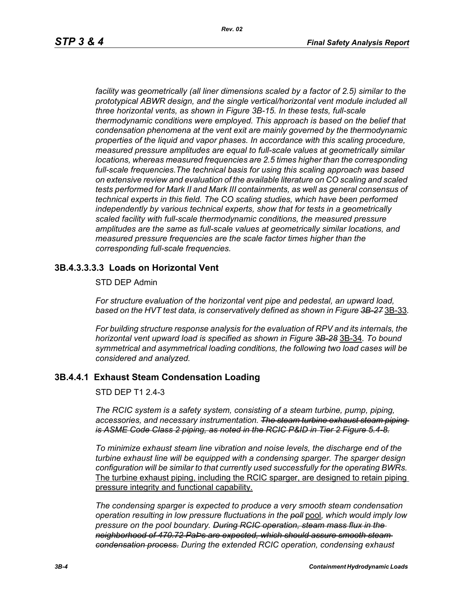facility was geometrically (all liner dimensions scaled by a factor of 2.5) similar to the *prototypical ABWR design, and the single vertical/horizontal vent module included all three horizontal vents, as shown in Figure 3B-15. In these tests, full-scale thermodynamic conditions were employed. This approach is based on the belief that condensation phenomena at the vent exit are mainly governed by the thermodynamic properties of the liquid and vapor phases. In accordance with this scaling procedure, measured pressure amplitudes are equal to full-scale values at geometrically similar locations, whereas measured frequencies are 2.5 times higher than the corresponding full-scale frequencies.The technical basis for using this scaling approach was based on extensive review and evaluation of the available literature on CO scaling and scaled tests performed for Mark II and Mark III containments, as well as general consensus of technical experts in this field. The CO scaling studies, which have been performed independently by various technical experts, show that for tests in a geometrically scaled facility with full-scale thermodynamic conditions, the measured pressure amplitudes are the same as full-scale values at geometrically similar locations, and measured pressure frequencies are the scale factor times higher than the corresponding full-scale frequencies.*

# **3B.4.3.3.3.3 Loads on Horizontal Vent**

#### STD DEP Admin

*For structure evaluation of the horizontal vent pipe and pedestal, an upward load, based on the HVT test data, is conservatively defined as shown in Figure 3B-27* 3B-33*.*

*For building structure response analysis for the evaluation of RPV and its internals, the horizontal vent upward load is specified as shown in Figure 3B-28* 3B-34*. To bound symmetrical and asymmetrical loading conditions, the following two load cases will be considered and analyzed.*

# **3B.4.4.1 Exhaust Steam Condensation Loading**

#### STD DEP T1 2.4-3

*The RCIC system is a safety system, consisting of a steam turbine, pump, piping, accessories, and necessary instrumentation. The steam turbine exhaust steam piping is ASME Code Class 2 piping, as noted in the RCIC P&ID in Tier 2 Figure 5.4-8.*

*To minimize exhaust steam line vibration and noise levels, the discharge end of the turbine exhaust line will be equipped with a condensing sparger. The sparger design configuration will be similar to that currently used successfully for the operating BWRs.* The turbine exhaust piping, including the RCIC sparger, are designed to retain piping pressure integrity and functional capability.

*The condensing sparger is expected to produce a very smooth steam condensation operation resulting in low pressure fluctuations in the poll* pool*, which would imply low pressure on the pool boundary. During RCIC operation, steam mass flux in the neighborhood of 470.72 PaÞs are expected, which should assure smooth steam condensation process. During the extended RCIC operation, condensing exhaust*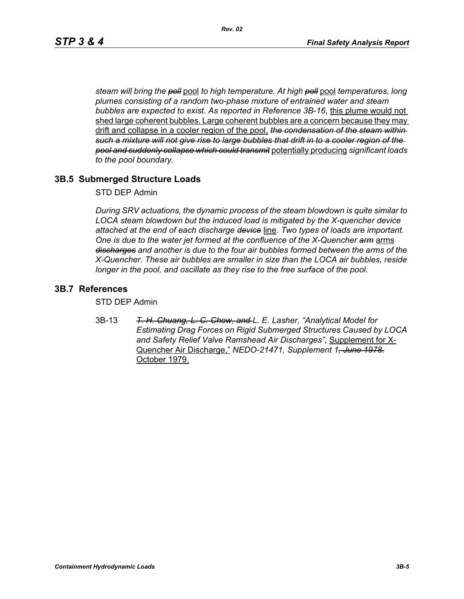*steam will bring the poll* pool *to high temperature. At high poll* pool *temperatures, long plumes consisting of a random two-phase mixture of entrained water and steam bubbles are expected to exist. As reported in Reference 3B-16*, this plume would not shed large coherent bubbles. Large coherent bubbles are a concern because they may drift and collapse in a cooler region of the pool, *the condensation of the steam within such a mixture will not give rise to large bubbles that drift in to a cooler region of the pool and suddenly collapse which could transmit* potentially producing *significant loads to the pool boundary.*

# **3B.5 Submerged Structure Loads**

#### STD DEP Admin

*During SRV actuations, the dynamic process of the steam blowdown is quite similar to LOCA steam blowdown but the induced load is mitigated by the X-quencher device attached at the end of each discharge device* line. *Two types of loads are important. One is due to the water jet formed at the confluence of the X-Quencher arm arms discharges and another is due to the four air bubbles formed between the arms of the X-Quencher. These air bubbles are smaller in size than the LOCA air bubbles, reside longer in the pool, and oscillate as they rise to the free surface of the pool.*

# **3B.7 References**

STD DEP Admin

3B-13 *T. H. Chuang, L. C. Chow, and L. E. Lasher, "Analytical Model for Estimating Drag Forces on Rigid Submerged Structures Caused by LOCA and Safety Relief Valve Ramshead Air Discharges"*, Supplement for X-Quencher Air Discharge," *NEDO-21471, Supplement 1, June 1978.* October 1979.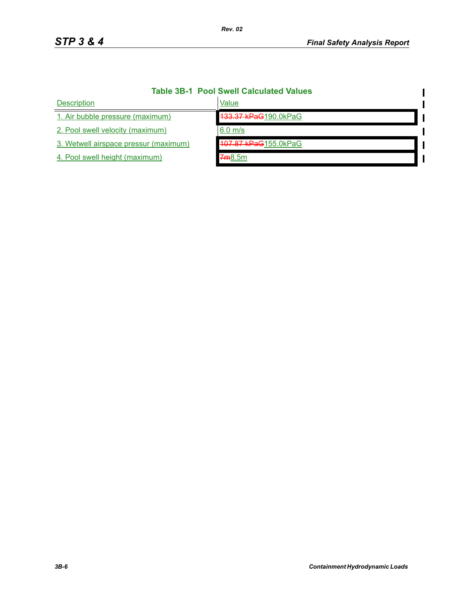| <b>Table 3B-1 Pool Swell Calculated Values</b> |                      |  |  |  |
|------------------------------------------------|----------------------|--|--|--|
| <b>Description</b>                             | Value                |  |  |  |
| 1. Air bubble pressure (maximum)               | 133.37 kPaG190.0kPaG |  |  |  |
| 2. Pool swell velocity (maximum)               | $6.0$ m/s            |  |  |  |
| 3. Wetwell airspace pressur (maximum)          | 107.87 kPaG155.0kPaG |  |  |  |
| 4. Pool swell height (maximum)                 | 7m8.5m               |  |  |  |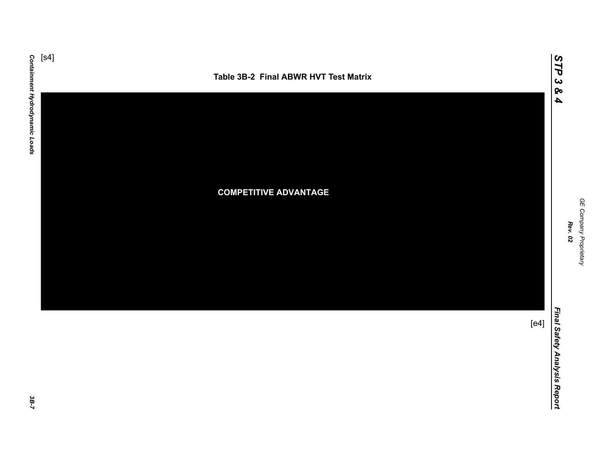



GE Company Proprietary *GE Company Proprietary Rev. 02*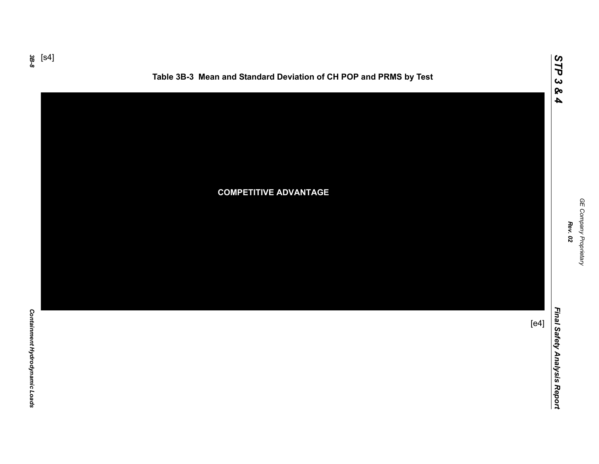*3B-8*



Containment Hydrodynamic Loads *Containment Hydrodynamic Loads* 

[s4]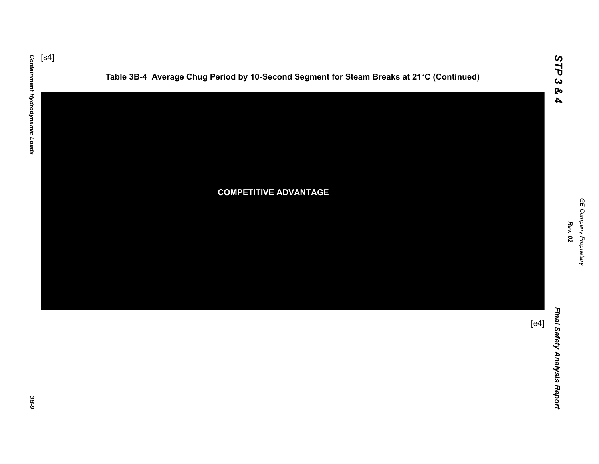





*STP 3 & 4*

3B-9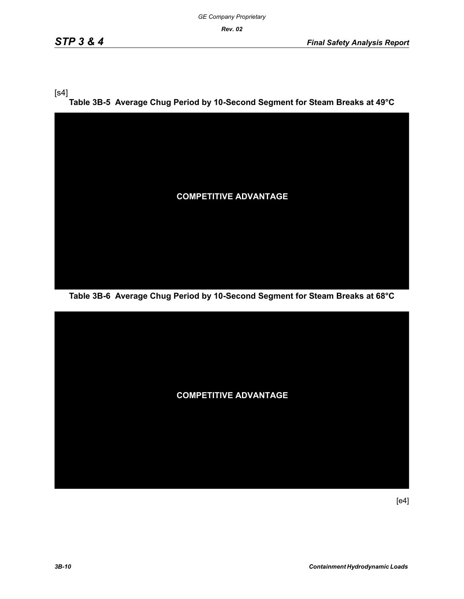$[s4]$ 

**Table 3B-5 Average Chug Period by 10-Second Segment for Steam Breaks at 49°C**



**Table 3B-6 Average Chug Period by 10-Second Segment for Steam Breaks at 68°C**

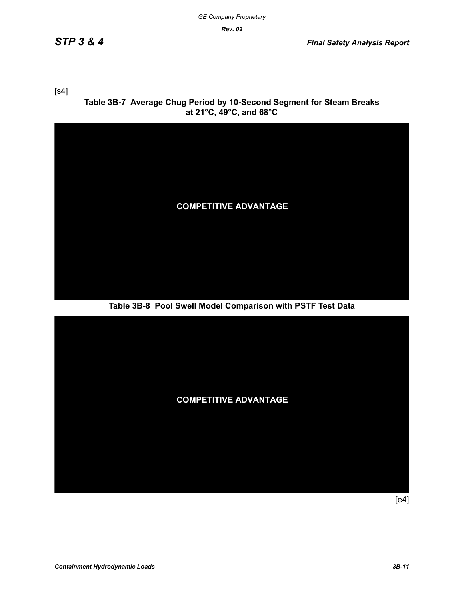[s4]

**Table 3B-7 Average Chug Period by 10-Second Segment for Steam Breaks at 21°C, 49°C, and 68°C**



**Table 3B-8 Pool Swell Model Comparison with PSTF Test Data**

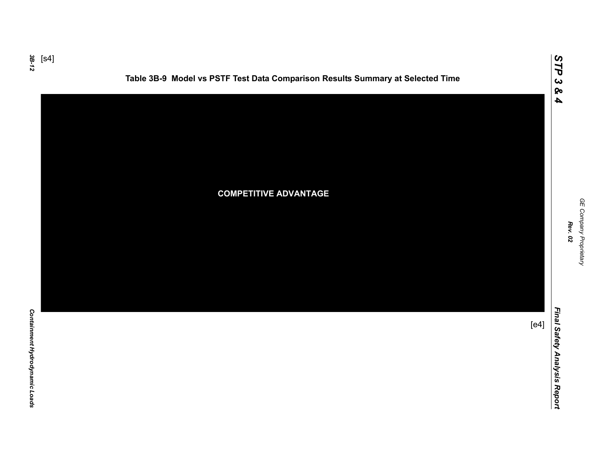*3B-12* [s4]



**Table 3B-9 Model vs PSTF Test Data Comparison Results Summary at Selected Time**



GE Company Proprietary *GE Company Proprietary Rev. 02*

*STP 3 & 4*

Final Safety Analysis Report *Final Safety Analysis Report*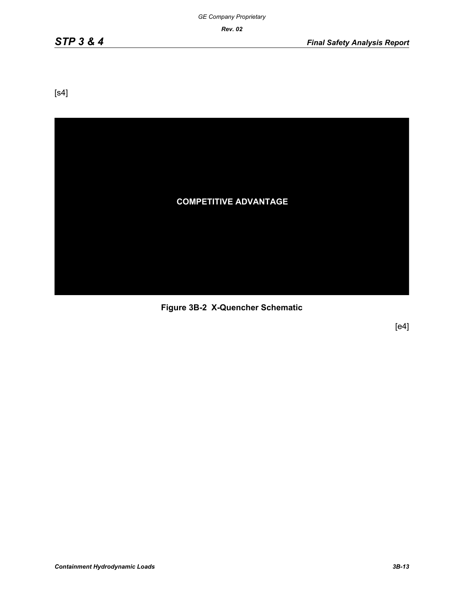[s4]



**Figure 3B-2 X-Quencher Schematic**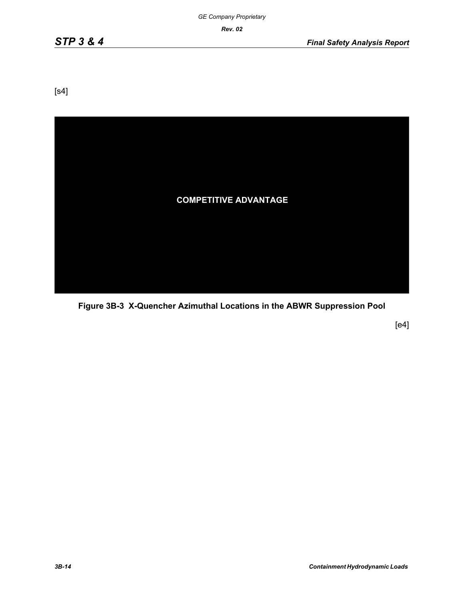[s4]



**Figure 3B-3 X-Quencher Azimuthal Locations in the ABWR Suppression Pool**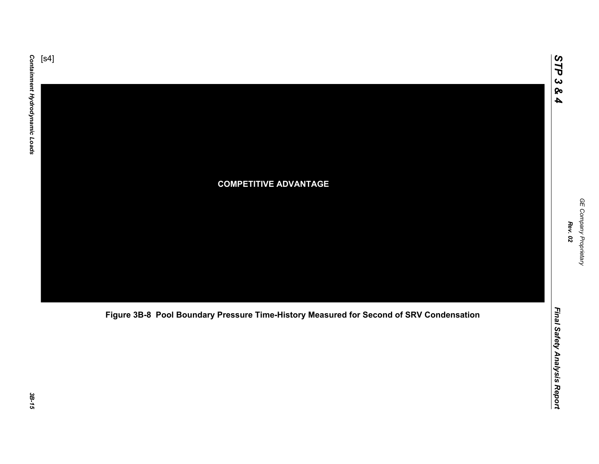

**Figure 3B-8 Pool Boundary Pressure Time-History Measured for Second of SRV Condensation**

3B-15

GE Company Proprietary *GE Company Proprietary Rev. 02*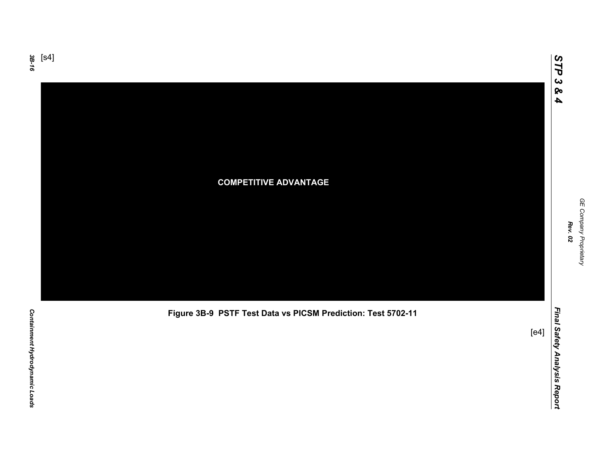

**Figure 3B-9 PSTF Test Data vs PICSM Prediction: Test 5702-11**

[e4]

*GE Company Proprietary*

GE Company Proprietary *Rev. 02*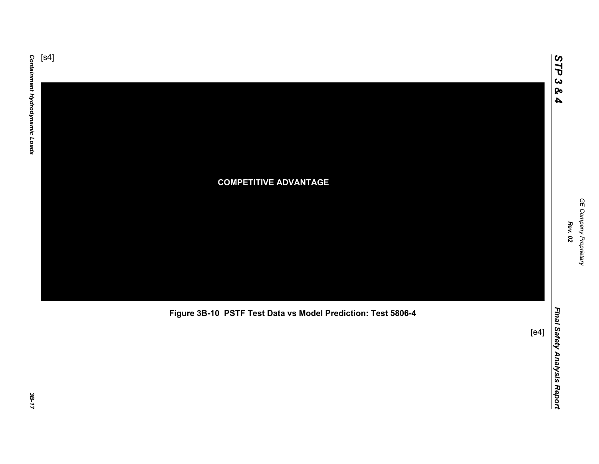

**Figure 3B-10 PSTF Test Data vs Model Prediction: Test 5806-4**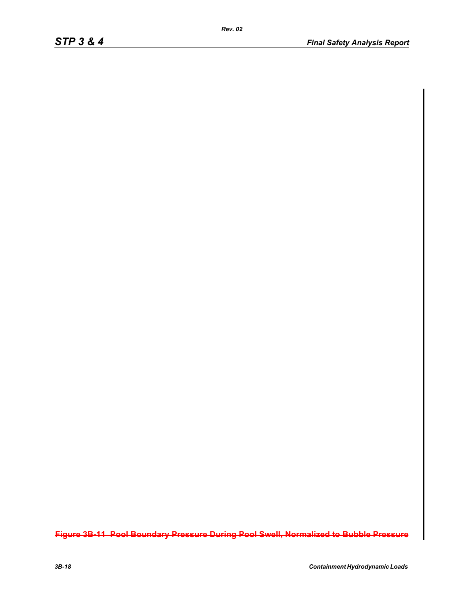**Figure 3B-11 Pool Boundary Pressure During Pool Swell, Normalized to Bubble Pressure**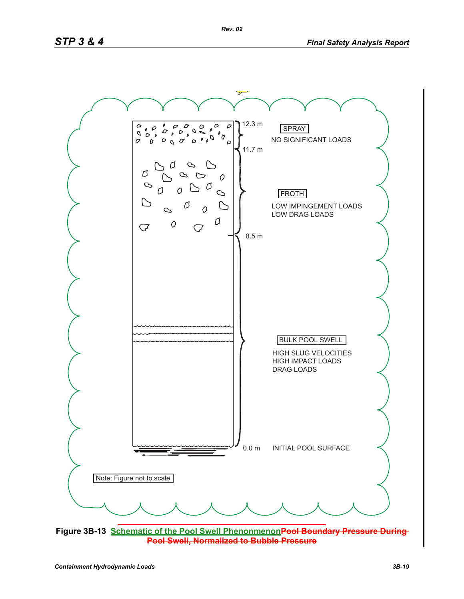

**Pool Swell, Normalized to Bubble Pressure**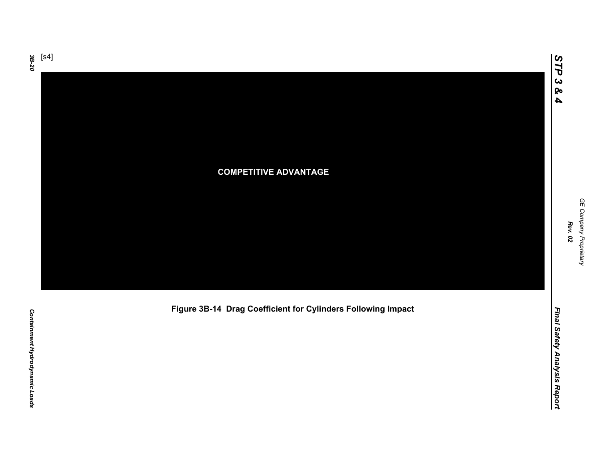

**Figure 3B-14 Drag Coefficient for Cylinders Following Impact**

GE Company Proprietary *GE Company Proprietary*

*Final Safety Analysis Report*

Final Safety Analysis Report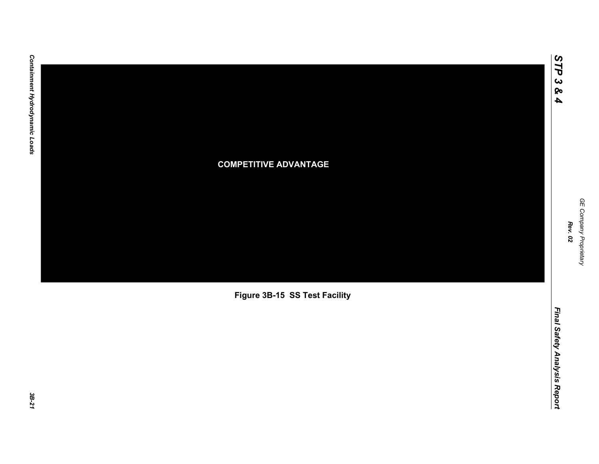

**Figure 3B-15 SS Test Facility**

*STP 3 & 4*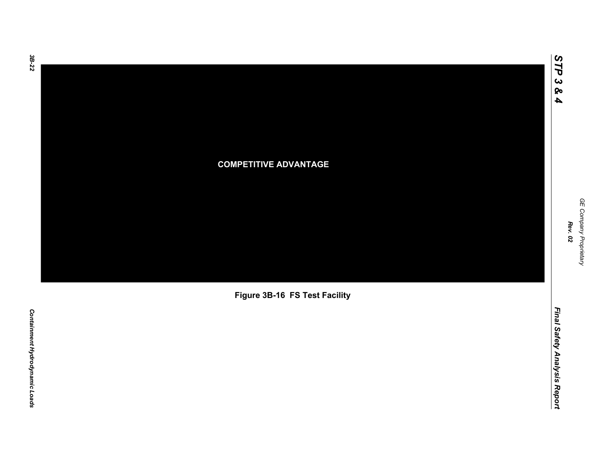**COMPETITIVE ADVANTAGE**

**Figure 3B-16 FS Test Facility**

# Containment Hydrodynamic Loads *Containment Hydrodynamic Loads*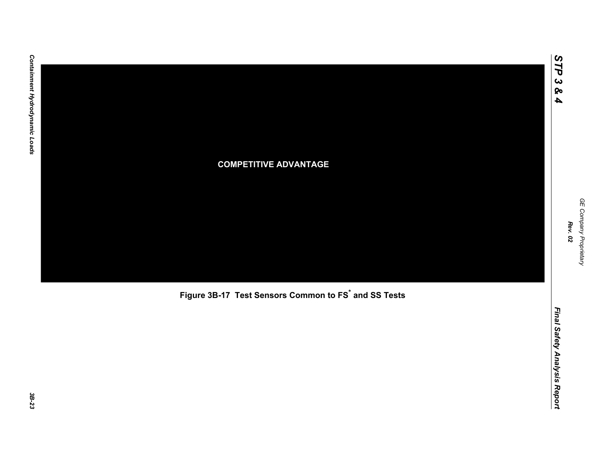

**Figure 3B-17 Test Sensors Common to FS\* and SS Tests**

*STP 3 & 4*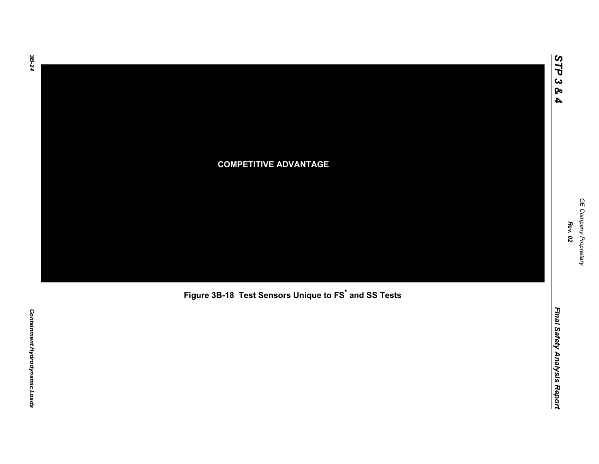# **COMPETITIVE ADVANTAGE**

**Figure 3B-18 Test Sensors Unique to FS\* and SS Tests**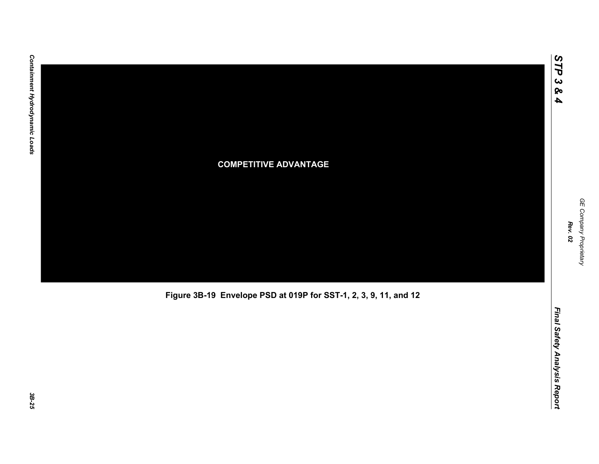

**Figure 3B-19 Envelope PSD at 019P for SST-1, 2, 3, 9, 11, and 12**

*STP 3 & 4*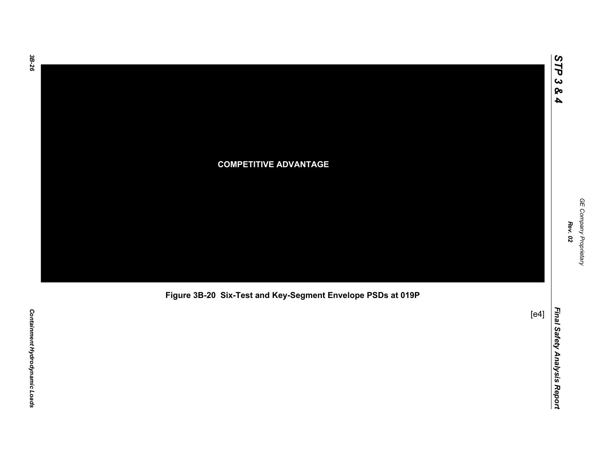

**Figure 3B-20 Six-Test and Key-Segment Envelope PSDs at 019P**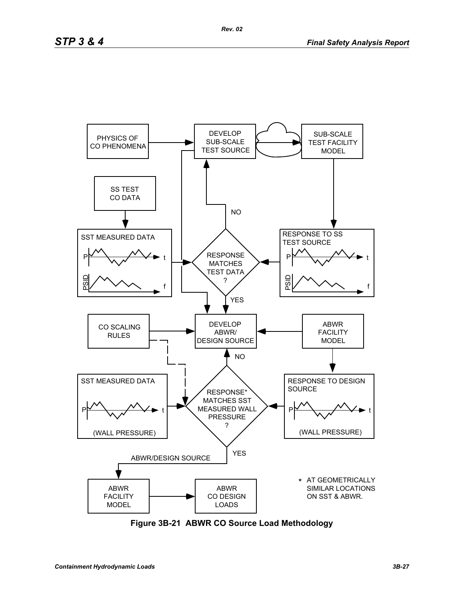

**Figure 3B-21 ABWR CO Source Load Methodology**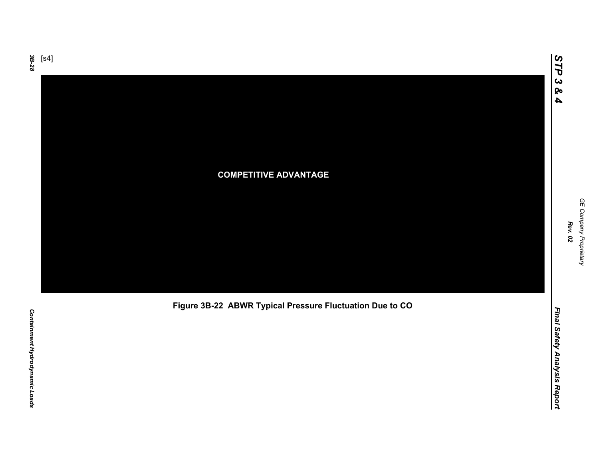

**Figure 3B-22 ABWR Typical Pressure Fluctuation Due to CO**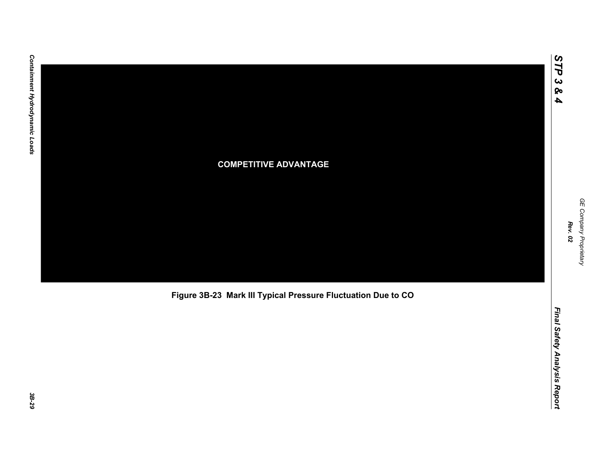

**Figure 3B-23 Mark III Typical Pressure Fluctuation Due to CO**

*STP 3 & 4*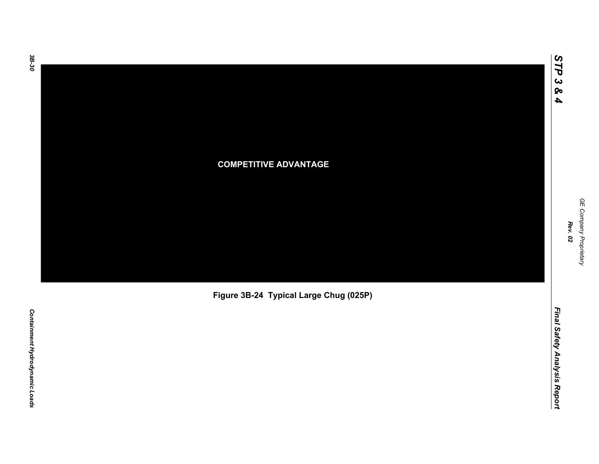*STP 3 & 4*

# **COMPETITIVE ADVANTAGE**

**Figure 3B-24 Typical Large Chug (025P)**

Final Safety Analysis Report *Final Safety Analysis Report*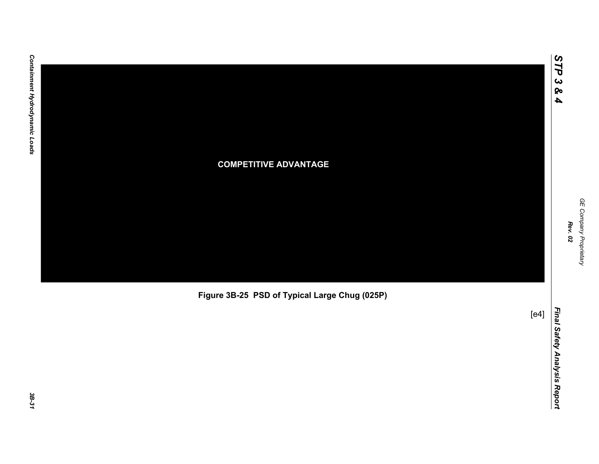

**Figure 3B-25 PSD of Typical Large Chug (025P)**

*GE Company Proprietary*

GE Company Proprietary

*Rev. 02*

*STP 3 & 4*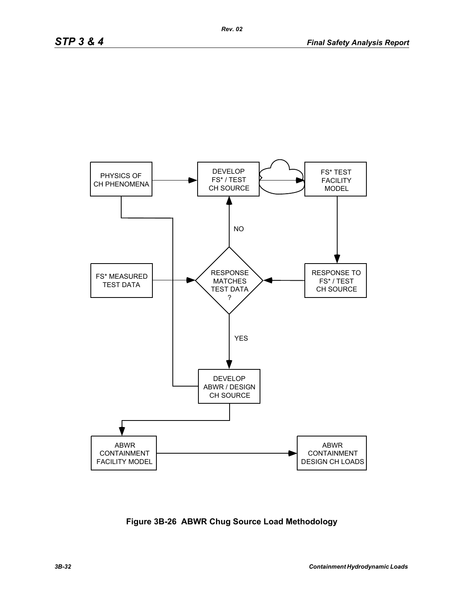

**Figure 3B-26 ABWR Chug Source Load Methodology**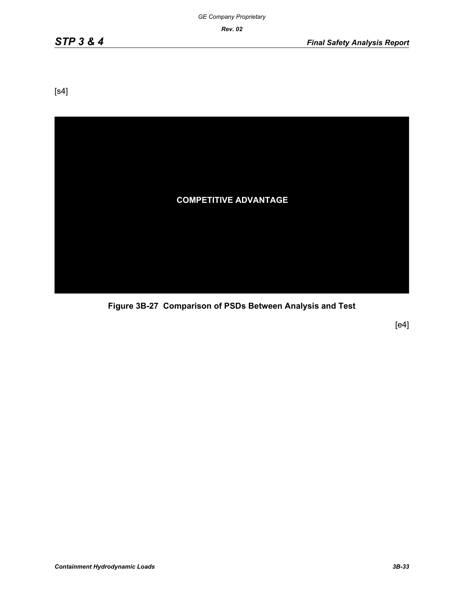[s4]



**Figure 3B-27 Comparison of PSDs Between Analysis and Test**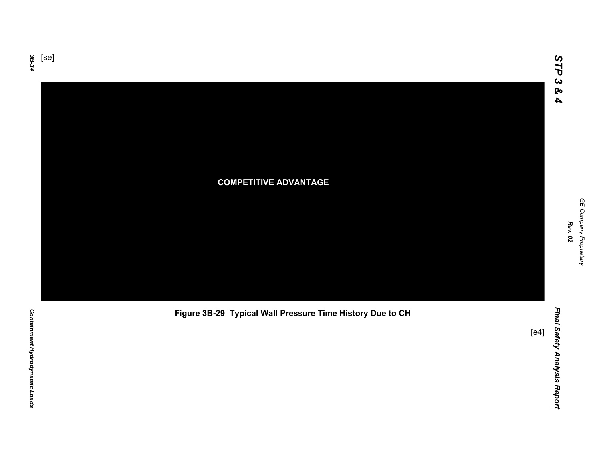

**Figure 3B-29 Typical Wall Pressure Time History Due to CH**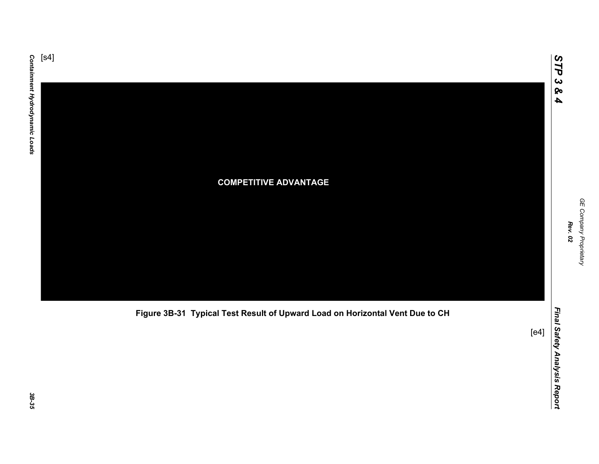

**Figure 3B-31 Typical Test Result of Upward Load on Horizontal Vent Due to CH**

*GE Company Proprietary*

GE Company Proprietary

*Rev. 02*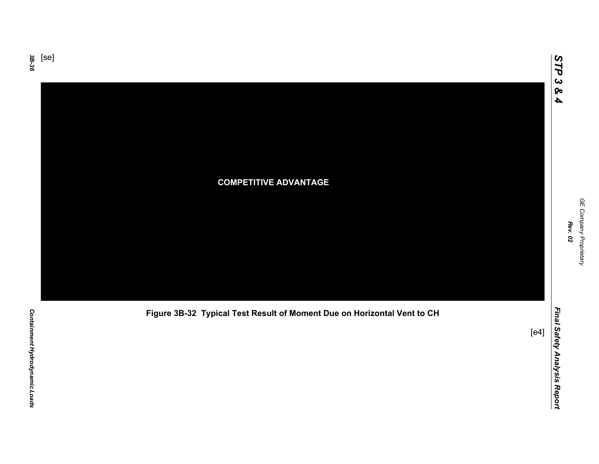

**Figure 3B-32 Typical Test Result of Moment Due on Horizontal Vent to CH**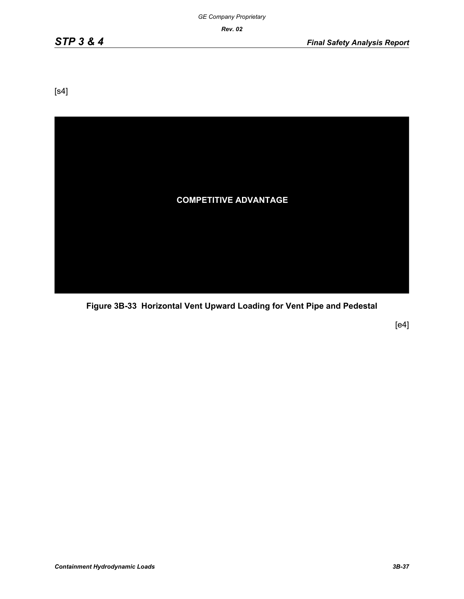[s4]



**Figure 3B-33 Horizontal Vent Upward Loading for Vent Pipe and Pedestal**